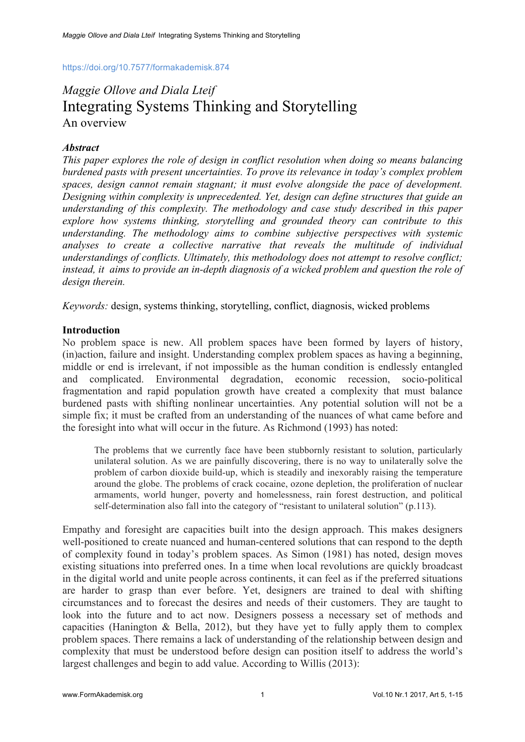#### https://doi.org/10.7577/formakademisk.874

# *Maggie Ollove and Diala Lteif* Integrating Systems Thinking and Storytelling An overview

#### *Abstract*

*This paper explores the role of design in conflict resolution when doing so means balancing burdened pasts with present uncertainties. To prove its relevance in today's complex problem spaces, design cannot remain stagnant; it must evolve alongside the pace of development. Designing within complexity is unprecedented. Yet, design can define structures that guide an understanding of this complexity. The methodology and case study described in this paper explore how systems thinking, storytelling and grounded theory can contribute to this understanding. The methodology aims to combine subjective perspectives with systemic analyses to create a collective narrative that reveals the multitude of individual understandings of conflicts. Ultimately, this methodology does not attempt to resolve conflict; instead, it aims to provide an in-depth diagnosis of a wicked problem and question the role of design therein.*

*Keywords:* design, systems thinking, storytelling, conflict, diagnosis, wicked problems

#### **Introduction**

No problem space is new. All problem spaces have been formed by layers of history, (in)action, failure and insight. Understanding complex problem spaces as having a beginning, middle or end is irrelevant, if not impossible as the human condition is endlessly entangled and complicated. Environmental degradation, economic recession, socio-political fragmentation and rapid population growth have created a complexity that must balance burdened pasts with shifting nonlinear uncertainties. Any potential solution will not be a simple fix; it must be crafted from an understanding of the nuances of what came before and the foresight into what will occur in the future. As Richmond (1993) has noted:

The problems that we currently face have been stubbornly resistant to solution, particularly unilateral solution. As we are painfully discovering, there is no way to unilaterally solve the problem of carbon dioxide build-up, which is steadily and inexorably raising the temperature around the globe. The problems of crack cocaine, ozone depletion, the proliferation of nuclear armaments, world hunger, poverty and homelessness, rain forest destruction, and political self-determination also fall into the category of "resistant to unilateral solution" (p.113).

Empathy and foresight are capacities built into the design approach. This makes designers well-positioned to create nuanced and human-centered solutions that can respond to the depth of complexity found in today's problem spaces. As Simon (1981) has noted, design moves existing situations into preferred ones. In a time when local revolutions are quickly broadcast in the digital world and unite people across continents, it can feel as if the preferred situations are harder to grasp than ever before. Yet, designers are trained to deal with shifting circumstances and to forecast the desires and needs of their customers. They are taught to look into the future and to act now. Designers possess a necessary set of methods and capacities (Hanington  $\&$  Bella, 2012), but they have yet to fully apply them to complex problem spaces. There remains a lack of understanding of the relationship between design and complexity that must be understood before design can position itself to address the world's largest challenges and begin to add value. According to Willis (2013):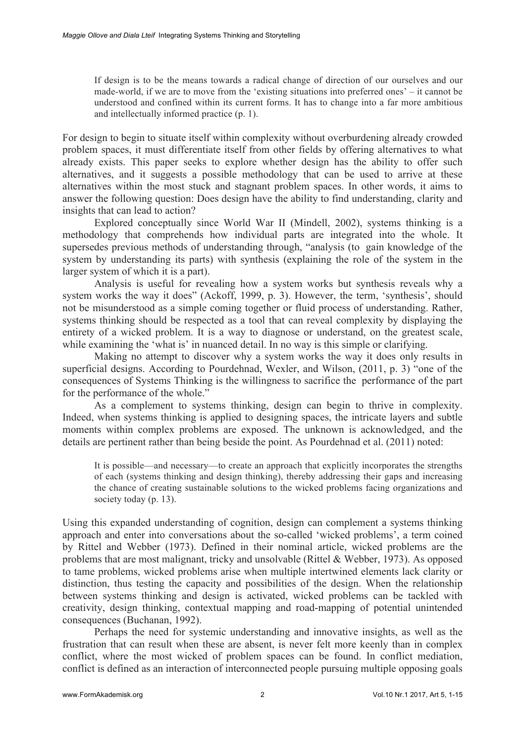If design is to be the means towards a radical change of direction of our ourselves and our made-world, if we are to move from the 'existing situations into preferred ones' – it cannot be understood and confined within its current forms. It has to change into a far more ambitious and intellectually informed practice (p. 1).

For design to begin to situate itself within complexity without overburdening already crowded problem spaces, it must differentiate itself from other fields by offering alternatives to what already exists. This paper seeks to explore whether design has the ability to offer such alternatives, and it suggests a possible methodology that can be used to arrive at these alternatives within the most stuck and stagnant problem spaces. In other words, it aims to answer the following question: Does design have the ability to find understanding, clarity and insights that can lead to action?

Explored conceptually since World War II (Mindell, 2002), systems thinking is a methodology that comprehends how individual parts are integrated into the whole. It supersedes previous methods of understanding through, "analysis (to gain knowledge of the system by understanding its parts) with synthesis (explaining the role of the system in the larger system of which it is a part).

Analysis is useful for revealing how a system works but synthesis reveals why a system works the way it does" (Ackoff, 1999, p. 3). However, the term, 'synthesis', should not be misunderstood as a simple coming together or fluid process of understanding. Rather, systems thinking should be respected as a tool that can reveal complexity by displaying the entirety of a wicked problem. It is a way to diagnose or understand, on the greatest scale, while examining the 'what is' in nuanced detail. In no way is this simple or clarifying.

Making no attempt to discover why a system works the way it does only results in superficial designs. According to Pourdehnad, Wexler, and Wilson, (2011, p. 3) "one of the consequences of Systems Thinking is the willingness to sacrifice the performance of the part for the performance of the whole."

As a complement to systems thinking, design can begin to thrive in complexity. Indeed, when systems thinking is applied to designing spaces, the intricate layers and subtle moments within complex problems are exposed. The unknown is acknowledged, and the details are pertinent rather than being beside the point. As Pourdehnad et al. (2011) noted:

It is possible—and necessary—to create an approach that explicitly incorporates the strengths of each (systems thinking and design thinking), thereby addressing their gaps and increasing the chance of creating sustainable solutions to the wicked problems facing organizations and society today (p. 13).

Using this expanded understanding of cognition, design can complement a systems thinking approach and enter into conversations about the so-called 'wicked problems', a term coined by Rittel and Webber (1973). Defined in their nominal article, wicked problems are the problems that are most malignant, tricky and unsolvable (Rittel & Webber, 1973). As opposed to tame problems, wicked problems arise when multiple intertwined elements lack clarity or distinction, thus testing the capacity and possibilities of the design. When the relationship between systems thinking and design is activated, wicked problems can be tackled with creativity, design thinking, contextual mapping and road-mapping of potential unintended consequences (Buchanan, 1992).

Perhaps the need for systemic understanding and innovative insights, as well as the frustration that can result when these are absent, is never felt more keenly than in complex conflict, where the most wicked of problem spaces can be found. In conflict mediation, conflict is defined as an interaction of interconnected people pursuing multiple opposing goals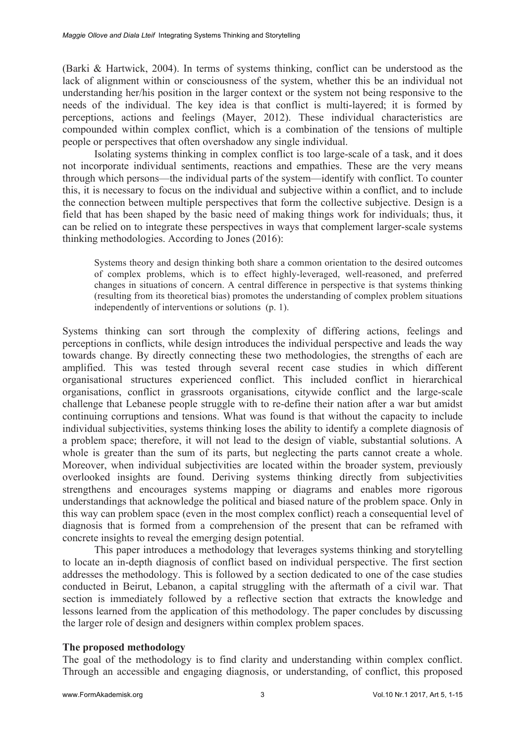(Barki & Hartwick, 2004). In terms of systems thinking, conflict can be understood as the lack of alignment within or consciousness of the system, whether this be an individual not understanding her/his position in the larger context or the system not being responsive to the needs of the individual. The key idea is that conflict is multi-layered; it is formed by perceptions, actions and feelings (Mayer, 2012). These individual characteristics are compounded within complex conflict, which is a combination of the tensions of multiple people or perspectives that often overshadow any single individual.

Isolating systems thinking in complex conflict is too large-scale of a task, and it does not incorporate individual sentiments, reactions and empathies. These are the very means through which persons—the individual parts of the system—identify with conflict. To counter this, it is necessary to focus on the individual and subjective within a conflict, and to include the connection between multiple perspectives that form the collective subjective. Design is a field that has been shaped by the basic need of making things work for individuals; thus, it can be relied on to integrate these perspectives in ways that complement larger-scale systems thinking methodologies. According to Jones (2016):

Systems theory and design thinking both share a common orientation to the desired outcomes of complex problems, which is to effect highly-leveraged, well-reasoned, and preferred changes in situations of concern. A central difference in perspective is that systems thinking (resulting from its theoretical bias) promotes the understanding of complex problem situations independently of interventions or solutions (p. 1).

Systems thinking can sort through the complexity of differing actions, feelings and perceptions in conflicts, while design introduces the individual perspective and leads the way towards change. By directly connecting these two methodologies, the strengths of each are amplified. This was tested through several recent case studies in which different organisational structures experienced conflict. This included conflict in hierarchical organisations, conflict in grassroots organisations, citywide conflict and the large-scale challenge that Lebanese people struggle with to re-define their nation after a war but amidst continuing corruptions and tensions. What was found is that without the capacity to include individual subjectivities, systems thinking loses the ability to identify a complete diagnosis of a problem space; therefore, it will not lead to the design of viable, substantial solutions. A whole is greater than the sum of its parts, but neglecting the parts cannot create a whole. Moreover, when individual subjectivities are located within the broader system, previously overlooked insights are found. Deriving systems thinking directly from subjectivities strengthens and encourages systems mapping or diagrams and enables more rigorous understandings that acknowledge the political and biased nature of the problem space. Only in this way can problem space (even in the most complex conflict) reach a consequential level of diagnosis that is formed from a comprehension of the present that can be reframed with concrete insights to reveal the emerging design potential.

This paper introduces a methodology that leverages systems thinking and storytelling to locate an in-depth diagnosis of conflict based on individual perspective. The first section addresses the methodology. This is followed by a section dedicated to one of the case studies conducted in Beirut, Lebanon, a capital struggling with the aftermath of a civil war. That section is immediately followed by a reflective section that extracts the knowledge and lessons learned from the application of this methodology. The paper concludes by discussing the larger role of design and designers within complex problem spaces.

## **The proposed methodology**

The goal of the methodology is to find clarity and understanding within complex conflict. Through an accessible and engaging diagnosis, or understanding, of conflict, this proposed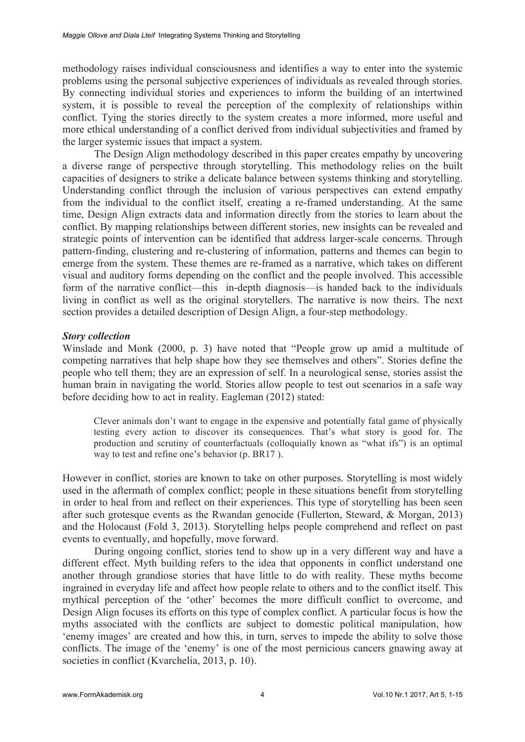methodology raises individual consciousness and identifies a way to enter into the systemic problems using the personal subjective experiences of individuals as revealed through stories. By connecting individual stories and experiences to inform the building of an intertwined system, it is possible to reveal the perception of the complexity of relationships within conflict. Tying the stories directly to the system creates a more informed, more useful and more ethical understanding of a conflict derived from individual subjectivities and framed by the larger systemic issues that impact a system.

The Design Align methodology described in this paper creates empathy by uncovering a diverse range of perspective through storytelling. This methodology relies on the built capacities of designers to strike a delicate balance between systems thinking and storytelling. Understanding conflict through the inclusion of various perspectives can extend empathy from the individual to the conflict itself, creating a re-framed understanding. At the same time, Design Align extracts data and information directly from the stories to learn about the conflict. By mapping relationships between different stories, new insights can be revealed and strategic points of intervention can be identified that address larger-scale concerns. Through pattern-finding, clustering and re-clustering of information, patterns and themes can begin to emerge from the system. These themes are re-framed as a narrative, which takes on different visual and auditory forms depending on the conflict and the people involved. This accessible form of the narrative conflict—this in-depth diagnosis—is handed back to the individuals living in conflict as well as the original storytellers. The narrative is now theirs. The next section provides a detailed description of Design Align, a four-step methodology.

## *Story collection*

Winslade and Monk (2000, p. 3) have noted that "People grow up amid a multitude of competing narratives that help shape how they see themselves and others". Stories define the people who tell them; they are an expression of self. In a neurological sense, stories assist the human brain in navigating the world. Stories allow people to test out scenarios in a safe way before deciding how to act in reality. Eagleman (2012) stated:

Clever animals don't want to engage in the expensive and potentially fatal game of physically testing every action to discover its consequences. That's what story is good for. The production and scrutiny of counterfactuals (colloquially known as "what ifs") is an optimal way to test and refine one's behavior (p. BR17 ).

However in conflict, stories are known to take on other purposes. Storytelling is most widely used in the aftermath of complex conflict; people in these situations benefit from storytelling in order to heal from and reflect on their experiences. This type of storytelling has been seen after such grotesque events as the Rwandan genocide (Fullerton, Steward, & Morgan, 2013) and the Holocaust (Fold 3, 2013). Storytelling helps people comprehend and reflect on past events to eventually, and hopefully, move forward.

During ongoing conflict, stories tend to show up in a very different way and have a different effect. Myth building refers to the idea that opponents in conflict understand one another through grandiose stories that have little to do with reality. These myths become ingrained in everyday life and affect how people relate to others and to the conflict itself. This mythical perception of the 'other' becomes the more difficult conflict to overcome, and Design Align focuses its efforts on this type of complex conflict. A particular focus is how the myths associated with the conflicts are subject to domestic political manipulation, how 'enemy images' are created and how this, in turn, serves to impede the ability to solve those conflicts. The image of the 'enemy' is one of the most pernicious cancers gnawing away at societies in conflict (Kvarchelia, 2013, p. 10).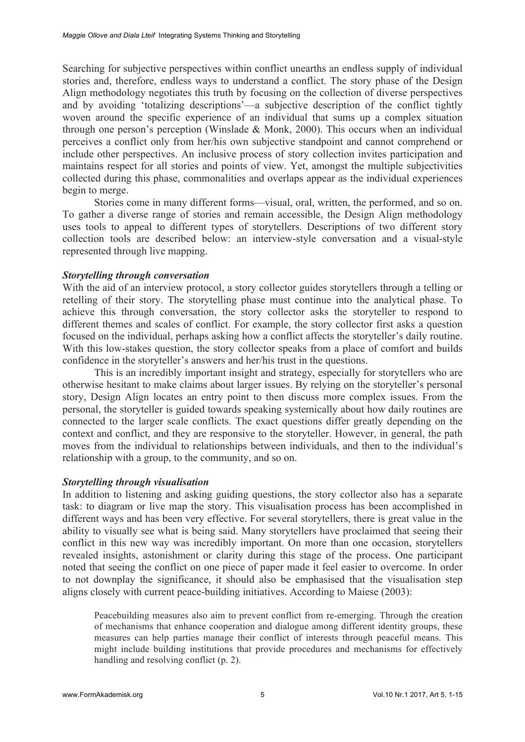Searching for subjective perspectives within conflict unearths an endless supply of individual stories and, therefore, endless ways to understand a conflict. The story phase of the Design Align methodology negotiates this truth by focusing on the collection of diverse perspectives and by avoiding 'totalizing descriptions'—a subjective description of the conflict tightly woven around the specific experience of an individual that sums up a complex situation through one person's perception (Winslade & Monk, 2000). This occurs when an individual perceives a conflict only from her/his own subjective standpoint and cannot comprehend or include other perspectives. An inclusive process of story collection invites participation and maintains respect for all stories and points of view. Yet, amongst the multiple subjectivities collected during this phase, commonalities and overlaps appear as the individual experiences begin to merge.

Stories come in many different forms—visual, oral, written, the performed, and so on. To gather a diverse range of stories and remain accessible, the Design Align methodology uses tools to appeal to different types of storytellers. Descriptions of two different story collection tools are described below: an interview-style conversation and a visual-style represented through live mapping.

## *Storytelling through conversation*

With the aid of an interview protocol, a story collector guides storytellers through a telling or retelling of their story. The storytelling phase must continue into the analytical phase. To achieve this through conversation, the story collector asks the storyteller to respond to different themes and scales of conflict. For example, the story collector first asks a question focused on the individual, perhaps asking how a conflict affects the storyteller's daily routine. With this low-stakes question, the story collector speaks from a place of comfort and builds confidence in the storyteller's answers and her/his trust in the questions.

This is an incredibly important insight and strategy, especially for storytellers who are otherwise hesitant to make claims about larger issues. By relying on the storyteller's personal story, Design Align locates an entry point to then discuss more complex issues. From the personal, the storyteller is guided towards speaking systemically about how daily routines are connected to the larger scale conflicts. The exact questions differ greatly depending on the context and conflict, and they are responsive to the storyteller. However, in general, the path moves from the individual to relationships between individuals, and then to the individual's relationship with a group, to the community, and so on.

## *Storytelling through visualisation*

In addition to listening and asking guiding questions, the story collector also has a separate task: to diagram or live map the story. This visualisation process has been accomplished in different ways and has been very effective. For several storytellers, there is great value in the ability to visually see what is being said. Many storytellers have proclaimed that seeing their conflict in this new way was incredibly important. On more than one occasion, storytellers revealed insights, astonishment or clarity during this stage of the process. One participant noted that seeing the conflict on one piece of paper made it feel easier to overcome. In order to not downplay the significance, it should also be emphasised that the visualisation step aligns closely with current peace-building initiatives. According to Maiese (2003):

Peacebuilding measures also aim to prevent conflict from re-emerging. Through the creation of mechanisms that enhance cooperation and dialogue among different identity groups, these measures can help parties manage their conflict of interests through peaceful means. This might include building institutions that provide procedures and mechanisms for effectively handling and resolving conflict (p. 2).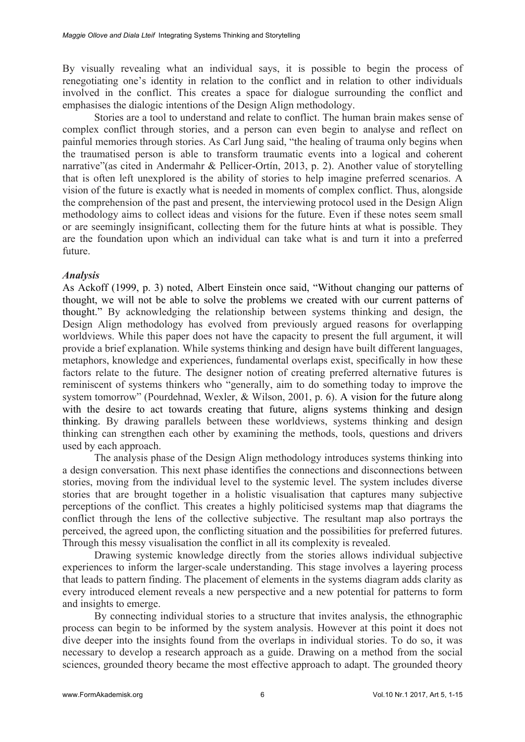By visually revealing what an individual says, it is possible to begin the process of renegotiating one's identity in relation to the conflict and in relation to other individuals involved in the conflict. This creates a space for dialogue surrounding the conflict and emphasises the dialogic intentions of the Design Align methodology.

Stories are a tool to understand and relate to conflict. The human brain makes sense of complex conflict through stories, and a person can even begin to analyse and reflect on painful memories through stories. As Carl Jung said, "the healing of trauma only begins when the traumatised person is able to transform traumatic events into a logical and coherent narrative"(as cited in Andermahr & Pellicer-Ortín, 2013, p. 2). Another value of storytelling that is often left unexplored is the ability of stories to help imagine preferred scenarios. A vision of the future is exactly what is needed in moments of complex conflict. Thus, alongside the comprehension of the past and present, the interviewing protocol used in the Design Align methodology aims to collect ideas and visions for the future. Even if these notes seem small or are seemingly insignificant, collecting them for the future hints at what is possible. They are the foundation upon which an individual can take what is and turn it into a preferred future.

# *Analysis*

As Ackoff (1999, p. 3) noted, Albert Einstein once said, "Without changing our patterns of thought, we will not be able to solve the problems we created with our current patterns of thought." By acknowledging the relationship between systems thinking and design, the Design Align methodology has evolved from previously argued reasons for overlapping worldviews. While this paper does not have the capacity to present the full argument, it will provide a brief explanation. While systems thinking and design have built different languages, metaphors, knowledge and experiences, fundamental overlaps exist, specifically in how these factors relate to the future. The designer notion of creating preferred alternative futures is reminiscent of systems thinkers who "generally, aim to do something today to improve the system tomorrow" (Pourdehnad, Wexler, & Wilson, 2001, p. 6). A vision for the future along with the desire to act towards creating that future, aligns systems thinking and design thinking. By drawing parallels between these worldviews, systems thinking and design thinking can strengthen each other by examining the methods, tools, questions and drivers used by each approach.

The analysis phase of the Design Align methodology introduces systems thinking into a design conversation. This next phase identifies the connections and disconnections between stories, moving from the individual level to the systemic level. The system includes diverse stories that are brought together in a holistic visualisation that captures many subjective perceptions of the conflict. This creates a highly politicised systems map that diagrams the conflict through the lens of the collective subjective. The resultant map also portrays the perceived, the agreed upon, the conflicting situation and the possibilities for preferred futures. Through this messy visualisation the conflict in all its complexity is revealed.

Drawing systemic knowledge directly from the stories allows individual subjective experiences to inform the larger-scale understanding. This stage involves a layering process that leads to pattern finding. The placement of elements in the systems diagram adds clarity as every introduced element reveals a new perspective and a new potential for patterns to form and insights to emerge.

By connecting individual stories to a structure that invites analysis, the ethnographic process can begin to be informed by the system analysis. However at this point it does not dive deeper into the insights found from the overlaps in individual stories. To do so, it was necessary to develop a research approach as a guide. Drawing on a method from the social sciences, grounded theory became the most effective approach to adapt. The grounded theory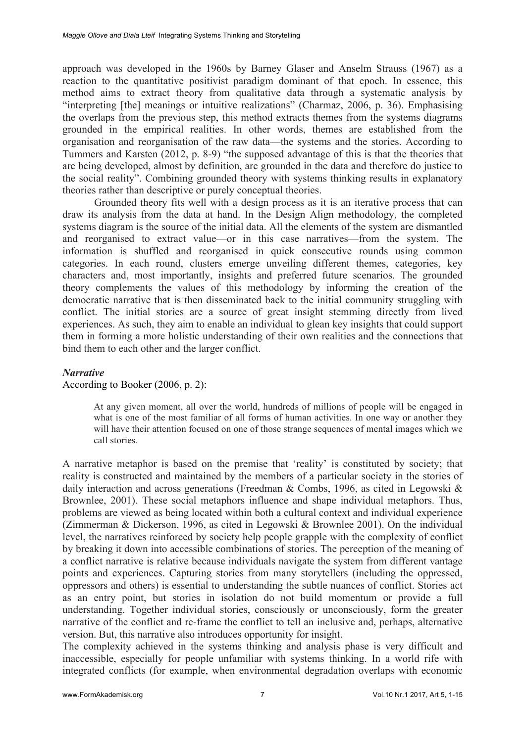approach was developed in the 1960s by Barney Glaser and Anselm Strauss (1967) as a reaction to the quantitative positivist paradigm dominant of that epoch. In essence, this method aims to extract theory from qualitative data through a systematic analysis by "interpreting [the] meanings or intuitive realizations" (Charmaz, 2006, p. 36). Emphasising the overlaps from the previous step, this method extracts themes from the systems diagrams grounded in the empirical realities. In other words, themes are established from the organisation and reorganisation of the raw data—the systems and the stories. According to Tummers and Karsten (2012, p. 8-9) "the supposed advantage of this is that the theories that are being developed, almost by definition, are grounded in the data and therefore do justice to the social reality". Combining grounded theory with systems thinking results in explanatory theories rather than descriptive or purely conceptual theories.

Grounded theory fits well with a design process as it is an iterative process that can draw its analysis from the data at hand. In the Design Align methodology, the completed systems diagram is the source of the initial data. All the elements of the system are dismantled and reorganised to extract value—or in this case narratives—from the system. The information is shuffled and reorganised in quick consecutive rounds using common categories. In each round, clusters emerge unveiling different themes, categories, key characters and, most importantly, insights and preferred future scenarios. The grounded theory complements the values of this methodology by informing the creation of the democratic narrative that is then disseminated back to the initial community struggling with conflict. The initial stories are a source of great insight stemming directly from lived experiences. As such, they aim to enable an individual to glean key insights that could support them in forming a more holistic understanding of their own realities and the connections that bind them to each other and the larger conflict.

## *Narrative*

## According to Booker (2006, p. 2):

At any given moment, all over the world, hundreds of millions of people will be engaged in what is one of the most familiar of all forms of human activities. In one way or another they will have their attention focused on one of those strange sequences of mental images which we call stories.

A narrative metaphor is based on the premise that 'reality' is constituted by society; that reality is constructed and maintained by the members of a particular society in the stories of daily interaction and across generations (Freedman & Combs, 1996, as cited in Legowski & Brownlee, 2001). These social metaphors influence and shape individual metaphors. Thus, problems are viewed as being located within both a cultural context and individual experience (Zimmerman & Dickerson, 1996, as cited in Legowski & Brownlee 2001). On the individual level, the narratives reinforced by society help people grapple with the complexity of conflict by breaking it down into accessible combinations of stories. The perception of the meaning of a conflict narrative is relative because individuals navigate the system from different vantage points and experiences. Capturing stories from many storytellers (including the oppressed, oppressors and others) is essential to understanding the subtle nuances of conflict. Stories act as an entry point, but stories in isolation do not build momentum or provide a full understanding. Together individual stories, consciously or unconsciously, form the greater narrative of the conflict and re-frame the conflict to tell an inclusive and, perhaps, alternative version. But, this narrative also introduces opportunity for insight.

The complexity achieved in the systems thinking and analysis phase is very difficult and inaccessible, especially for people unfamiliar with systems thinking. In a world rife with integrated conflicts (for example, when environmental degradation overlaps with economic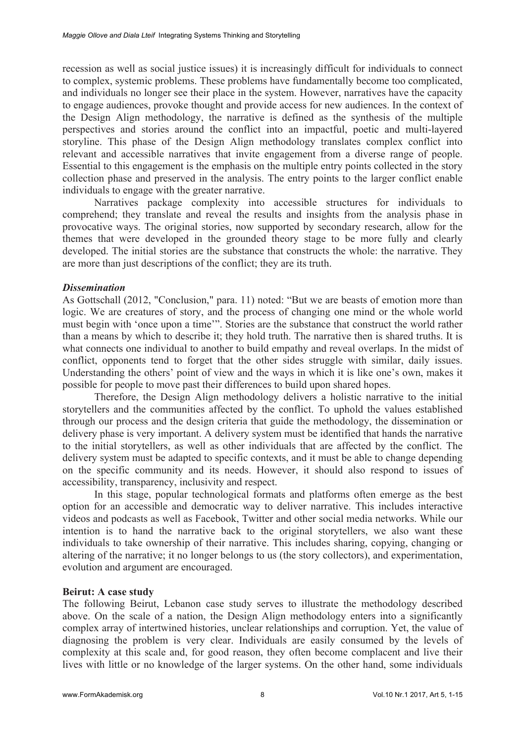recession as well as social justice issues) it is increasingly difficult for individuals to connect to complex, systemic problems. These problems have fundamentally become too complicated, and individuals no longer see their place in the system. However, narratives have the capacity to engage audiences, provoke thought and provide access for new audiences. In the context of the Design Align methodology, the narrative is defined as the synthesis of the multiple perspectives and stories around the conflict into an impactful, poetic and multi-layered storyline. This phase of the Design Align methodology translates complex conflict into relevant and accessible narratives that invite engagement from a diverse range of people. Essential to this engagement is the emphasis on the multiple entry points collected in the story collection phase and preserved in the analysis. The entry points to the larger conflict enable individuals to engage with the greater narrative.

Narratives package complexity into accessible structures for individuals to comprehend; they translate and reveal the results and insights from the analysis phase in provocative ways. The original stories, now supported by secondary research, allow for the themes that were developed in the grounded theory stage to be more fully and clearly developed. The initial stories are the substance that constructs the whole: the narrative. They are more than just descriptions of the conflict; they are its truth.

## *Dissemination*

As Gottschall (2012, "Conclusion," para. 11) noted: "But we are beasts of emotion more than logic. We are creatures of story, and the process of changing one mind or the whole world must begin with 'once upon a time'". Stories are the substance that construct the world rather than a means by which to describe it; they hold truth. The narrative then is shared truths. It is what connects one individual to another to build empathy and reveal overlaps. In the midst of conflict, opponents tend to forget that the other sides struggle with similar, daily issues. Understanding the others' point of view and the ways in which it is like one's own, makes it possible for people to move past their differences to build upon shared hopes.

Therefore, the Design Align methodology delivers a holistic narrative to the initial storytellers and the communities affected by the conflict. To uphold the values established through our process and the design criteria that guide the methodology, the dissemination or delivery phase is very important. A delivery system must be identified that hands the narrative to the initial storytellers, as well as other individuals that are affected by the conflict. The delivery system must be adapted to specific contexts, and it must be able to change depending on the specific community and its needs. However, it should also respond to issues of accessibility, transparency, inclusivity and respect.

In this stage, popular technological formats and platforms often emerge as the best option for an accessible and democratic way to deliver narrative. This includes interactive videos and podcasts as well as Facebook, Twitter and other social media networks. While our intention is to hand the narrative back to the original storytellers, we also want these individuals to take ownership of their narrative. This includes sharing, copying, changing or altering of the narrative; it no longer belongs to us (the story collectors), and experimentation, evolution and argument are encouraged.

## **Beirut: A case study**

The following Beirut, Lebanon case study serves to illustrate the methodology described above. On the scale of a nation, the Design Align methodology enters into a significantly complex array of intertwined histories, unclear relationships and corruption. Yet, the value of diagnosing the problem is very clear. Individuals are easily consumed by the levels of complexity at this scale and, for good reason, they often become complacent and live their lives with little or no knowledge of the larger systems. On the other hand, some individuals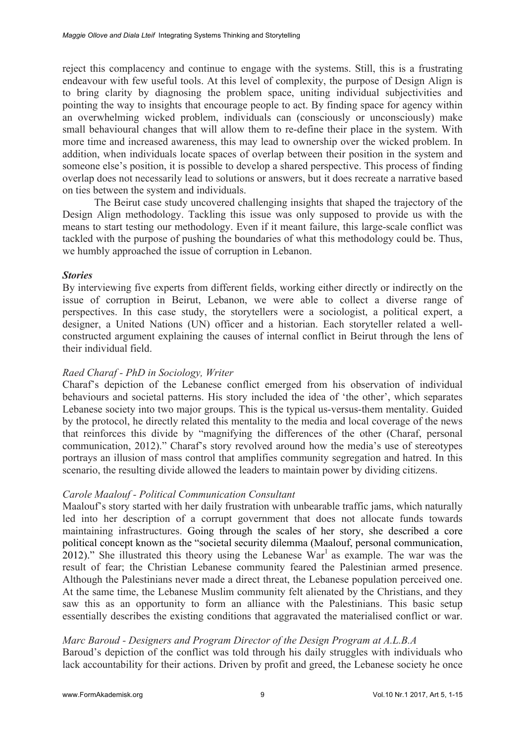reject this complacency and continue to engage with the systems. Still, this is a frustrating endeavour with few useful tools. At this level of complexity, the purpose of Design Align is to bring clarity by diagnosing the problem space, uniting individual subjectivities and pointing the way to insights that encourage people to act. By finding space for agency within an overwhelming wicked problem, individuals can (consciously or unconsciously) make small behavioural changes that will allow them to re-define their place in the system. With more time and increased awareness, this may lead to ownership over the wicked problem. In addition, when individuals locate spaces of overlap between their position in the system and someone else's position, it is possible to develop a shared perspective. This process of finding overlap does not necessarily lead to solutions or answers, but it does recreate a narrative based on ties between the system and individuals.

The Beirut case study uncovered challenging insights that shaped the trajectory of the Design Align methodology. Tackling this issue was only supposed to provide us with the means to start testing our methodology. Even if it meant failure, this large-scale conflict was tackled with the purpose of pushing the boundaries of what this methodology could be. Thus, we humbly approached the issue of corruption in Lebanon.

## *Stories*

By interviewing five experts from different fields, working either directly or indirectly on the issue of corruption in Beirut, Lebanon, we were able to collect a diverse range of perspectives. In this case study, the storytellers were a sociologist, a political expert, a designer, a United Nations (UN) officer and a historian. Each storyteller related a wellconstructed argument explaining the causes of internal conflict in Beirut through the lens of their individual field.

## *Raed Charaf - PhD in Sociology, Writer*

Charaf's depiction of the Lebanese conflict emerged from his observation of individual behaviours and societal patterns. His story included the idea of 'the other', which separates Lebanese society into two major groups. This is the typical us-versus-them mentality. Guided by the protocol, he directly related this mentality to the media and local coverage of the news that reinforces this divide by "magnifying the differences of the other (Charaf, personal communication, 2012)." Charaf's story revolved around how the media's use of stereotypes portrays an illusion of mass control that amplifies community segregation and hatred. In this scenario, the resulting divide allowed the leaders to maintain power by dividing citizens.

## *Carole Maalouf - Political Communication Consultant*

Maalouf's story started with her daily frustration with unbearable traffic jams, which naturally led into her description of a corrupt government that does not allocate funds towards maintaining infrastructures. Going through the scales of her story, she described a core political concept known as the "societal security dilemma (Maalouf, personal communication, 2012)." She illustrated this theory using the Lebanese War<sup>1</sup> as example. The war was the result of fear; the Christian Lebanese community feared the Palestinian armed presence. Although the Palestinians never made a direct threat, the Lebanese population perceived one. At the same time, the Lebanese Muslim community felt alienated by the Christians, and they saw this as an opportunity to form an alliance with the Palestinians. This basic setup essentially describes the existing conditions that aggravated the materialised conflict or war.

## *Marc Baroud - Designers and Program Director of the Design Program at A.L.B.A*

Baroud's depiction of the conflict was told through his daily struggles with individuals who lack accountability for their actions. Driven by profit and greed, the Lebanese society he once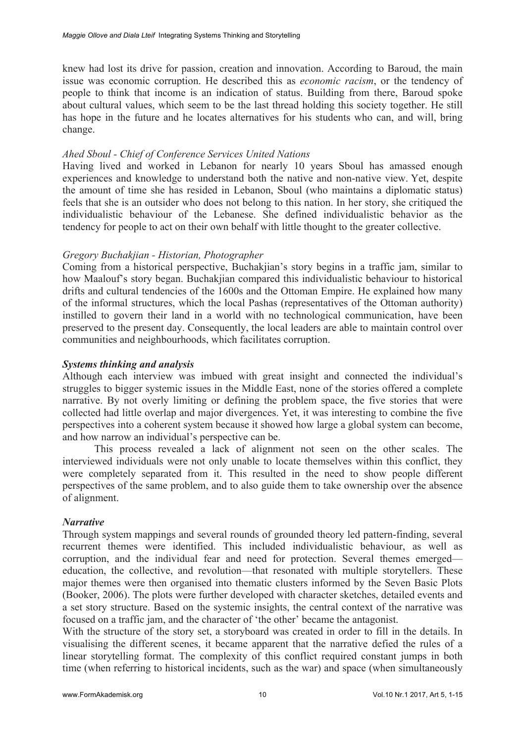knew had lost its drive for passion, creation and innovation. According to Baroud, the main issue was economic corruption. He described this as *economic racism*, or the tendency of people to think that income is an indication of status. Building from there, Baroud spoke about cultural values, which seem to be the last thread holding this society together. He still has hope in the future and he locates alternatives for his students who can, and will, bring change.

## *Ahed Sboul - Chief of Conference Services United Nations*

Having lived and worked in Lebanon for nearly 10 years Sboul has amassed enough experiences and knowledge to understand both the native and non-native view. Yet, despite the amount of time she has resided in Lebanon, Sboul (who maintains a diplomatic status) feels that she is an outsider who does not belong to this nation. In her story, she critiqued the individualistic behaviour of the Lebanese. She defined individualistic behavior as the tendency for people to act on their own behalf with little thought to the greater collective.

# *Gregory Buchakjian - Historian, Photographer*

Coming from a historical perspective, Buchakjian's story begins in a traffic jam, similar to how Maalouf's story began. Buchakjian compared this individualistic behaviour to historical drifts and cultural tendencies of the 1600s and the Ottoman Empire. He explained how many of the informal structures, which the local Pashas (representatives of the Ottoman authority) instilled to govern their land in a world with no technological communication, have been preserved to the present day. Consequently, the local leaders are able to maintain control over communities and neighbourhoods, which facilitates corruption.

# *Systems thinking and analysis*

Although each interview was imbued with great insight and connected the individual's struggles to bigger systemic issues in the Middle East, none of the stories offered a complete narrative. By not overly limiting or defining the problem space, the five stories that were collected had little overlap and major divergences. Yet, it was interesting to combine the five perspectives into a coherent system because it showed how large a global system can become, and how narrow an individual's perspective can be.

This process revealed a lack of alignment not seen on the other scales. The interviewed individuals were not only unable to locate themselves within this conflict, they were completely separated from it. This resulted in the need to show people different perspectives of the same problem, and to also guide them to take ownership over the absence of alignment.

## *Narrative*

Through system mappings and several rounds of grounded theory led pattern-finding, several recurrent themes were identified. This included individualistic behaviour, as well as corruption, and the individual fear and need for protection. Several themes emerged education, the collective, and revolution—that resonated with multiple storytellers. These major themes were then organised into thematic clusters informed by the Seven Basic Plots (Booker, 2006). The plots were further developed with character sketches, detailed events and a set story structure. Based on the systemic insights, the central context of the narrative was focused on a traffic jam, and the character of 'the other' became the antagonist.

With the structure of the story set, a storyboard was created in order to fill in the details. In visualising the different scenes, it became apparent that the narrative defied the rules of a linear storytelling format. The complexity of this conflict required constant jumps in both time (when referring to historical incidents, such as the war) and space (when simultaneously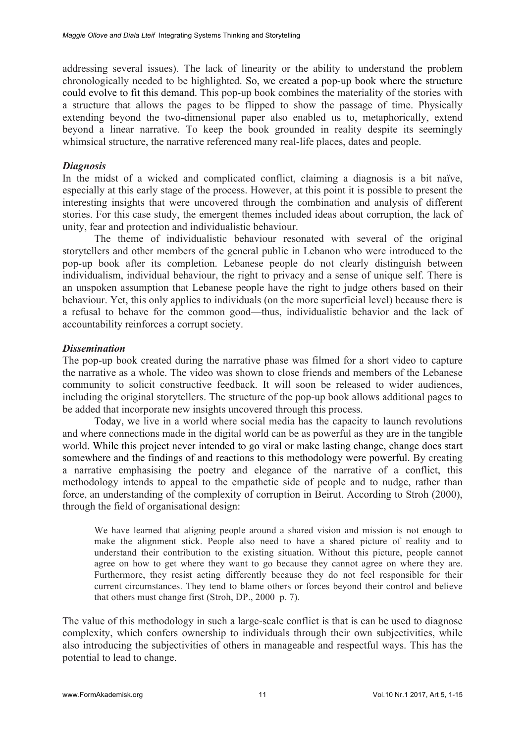addressing several issues). The lack of linearity or the ability to understand the problem chronologically needed to be highlighted. So, we created a pop-up book where the structure could evolve to fit this demand. This pop-up book combines the materiality of the stories with a structure that allows the pages to be flipped to show the passage of time. Physically extending beyond the two-dimensional paper also enabled us to, metaphorically, extend beyond a linear narrative. To keep the book grounded in reality despite its seemingly whimsical structure, the narrative referenced many real-life places, dates and people.

#### *Diagnosis*

In the midst of a wicked and complicated conflict, claiming a diagnosis is a bit naïve, especially at this early stage of the process. However, at this point it is possible to present the interesting insights that were uncovered through the combination and analysis of different stories. For this case study, the emergent themes included ideas about corruption, the lack of unity, fear and protection and individualistic behaviour.

The theme of individualistic behaviour resonated with several of the original storytellers and other members of the general public in Lebanon who were introduced to the pop-up book after its completion. Lebanese people do not clearly distinguish between individualism, individual behaviour, the right to privacy and a sense of unique self. There is an unspoken assumption that Lebanese people have the right to judge others based on their behaviour. Yet, this only applies to individuals (on the more superficial level) because there is a refusal to behave for the common good—thus, individualistic behavior and the lack of accountability reinforces a corrupt society.

#### *Dissemination*

The pop-up book created during the narrative phase was filmed for a short video to capture the narrative as a whole. The video was shown to close friends and members of the Lebanese community to solicit constructive feedback. It will soon be released to wider audiences, including the original storytellers. The structure of the pop-up book allows additional pages to be added that incorporate new insights uncovered through this process.

Today, we live in a world where social media has the capacity to launch revolutions and where connections made in the digital world can be as powerful as they are in the tangible world. While this project never intended to go viral or make lasting change, change does start somewhere and the findings of and reactions to this methodology were powerful. By creating a narrative emphasising the poetry and elegance of the narrative of a conflict, this methodology intends to appeal to the empathetic side of people and to nudge, rather than force, an understanding of the complexity of corruption in Beirut. According to Stroh (2000), through the field of organisational design:

We have learned that aligning people around a shared vision and mission is not enough to make the alignment stick. People also need to have a shared picture of reality and to understand their contribution to the existing situation. Without this picture, people cannot agree on how to get where they want to go because they cannot agree on where they are. Furthermore, they resist acting differently because they do not feel responsible for their current circumstances. They tend to blame others or forces beyond their control and believe that others must change first (Stroh, DP., 2000 p. 7).

The value of this methodology in such a large-scale conflict is that is can be used to diagnose complexity, which confers ownership to individuals through their own subjectivities, while also introducing the subjectivities of others in manageable and respectful ways. This has the potential to lead to change.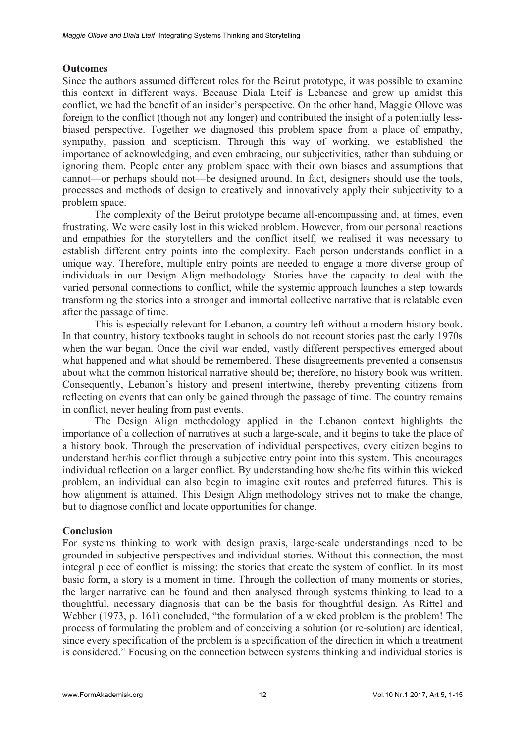# **Outcomes**

Since the authors assumed different roles for the Beirut prototype, it was possible to examine this context in different ways. Because Diala Lteif is Lebanese and grew up amidst this conflict, we had the benefit of an insider's perspective. On the other hand, Maggie Ollove was foreign to the conflict (though not any longer) and contributed the insight of a potentially lessbiased perspective. Together we diagnosed this problem space from a place of empathy, sympathy, passion and scepticism. Through this way of working, we established the importance of acknowledging, and even embracing, our subjectivities, rather than subduing or ignoring them. People enter any problem space with their own biases and assumptions that cannot—or perhaps should not—be designed around. In fact, designers should use the tools, processes and methods of design to creatively and innovatively apply their subjectivity to a problem space.

The complexity of the Beirut prototype became all-encompassing and, at times, even frustrating. We were easily lost in this wicked problem. However, from our personal reactions and empathies for the storytellers and the conflict itself, we realised it was necessary to establish different entry points into the complexity. Each person understands conflict in a unique way. Therefore, multiple entry points are needed to engage a more diverse group of individuals in our Design Align methodology. Stories have the capacity to deal with the varied personal connections to conflict, while the systemic approach launches a step towards transforming the stories into a stronger and immortal collective narrative that is relatable even after the passage of time.

This is especially relevant for Lebanon, a country left without a modern history book. In that country, history textbooks taught in schools do not recount stories past the early 1970s when the war began. Once the civil war ended, vastly different perspectives emerged about what happened and what should be remembered. These disagreements prevented a consensus about what the common historical narrative should be; therefore, no history book was written. Consequently, Lebanon's history and present intertwine, thereby preventing citizens from reflecting on events that can only be gained through the passage of time. The country remains in conflict, never healing from past events.

The Design Align methodology applied in the Lebanon context highlights the importance of a collection of narratives at such a large-scale, and it begins to take the place of a history book. Through the preservation of individual perspectives, every citizen begins to understand her/his conflict through a subjective entry point into this system. This encourages individual reflection on a larger conflict. By understanding how she/he fits within this wicked problem, an individual can also begin to imagine exit routes and preferred futures. This is how alignment is attained. This Design Align methodology strives not to make the change, but to diagnose conflict and locate opportunities for change.

## **Conclusion**

For systems thinking to work with design praxis, large-scale understandings need to be grounded in subjective perspectives and individual stories. Without this connection, the most integral piece of conflict is missing: the stories that create the system of conflict. In its most basic form, a story is a moment in time. Through the collection of many moments or stories, the larger narrative can be found and then analysed through systems thinking to lead to a thoughtful, necessary diagnosis that can be the basis for thoughtful design. As Rittel and Webber (1973, p. 161) concluded, "the formulation of a wicked problem is the problem! The process of formulating the problem and of conceiving a solution (or re-solution) are identical, since every specification of the problem is a specification of the direction in which a treatment is considered." Focusing on the connection between systems thinking and individual stories is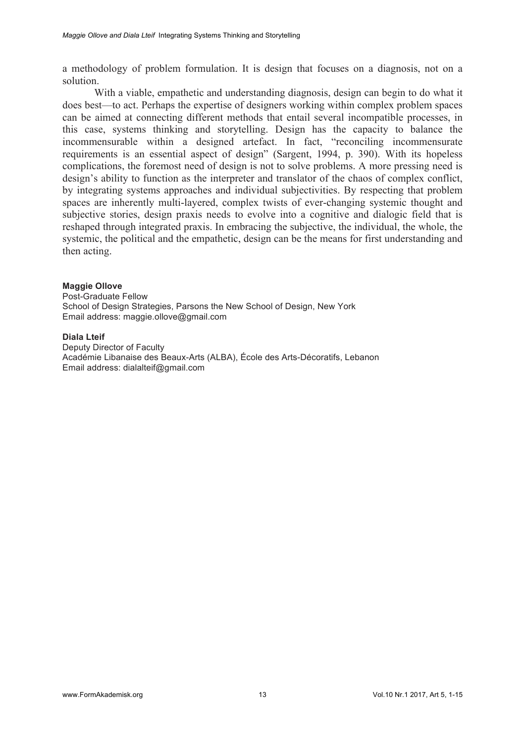a methodology of problem formulation. It is design that focuses on a diagnosis, not on a solution.

With a viable, empathetic and understanding diagnosis, design can begin to do what it does best—to act. Perhaps the expertise of designers working within complex problem spaces can be aimed at connecting different methods that entail several incompatible processes, in this case, systems thinking and storytelling. Design has the capacity to balance the incommensurable within a designed artefact. In fact, "reconciling incommensurate requirements is an essential aspect of design" (Sargent, 1994, p. 390). With its hopeless complications, the foremost need of design is not to solve problems. A more pressing need is design's ability to function as the interpreter and translator of the chaos of complex conflict, by integrating systems approaches and individual subjectivities. By respecting that problem spaces are inherently multi-layered, complex twists of ever-changing systemic thought and subjective stories, design praxis needs to evolve into a cognitive and dialogic field that is reshaped through integrated praxis. In embracing the subjective, the individual, the whole, the systemic, the political and the empathetic, design can be the means for first understanding and then acting.

#### **Maggie Ollove**

Post-Graduate Fellow School of Design Strategies, Parsons the New School of Design, New York Email address: maggie.ollove@gmail.com

#### **Diala Lteif**

Deputy Director of Faculty Académie Libanaise des Beaux-Arts (ALBA), École des Arts-Décoratifs, Lebanon Email address: dialalteif@gmail.com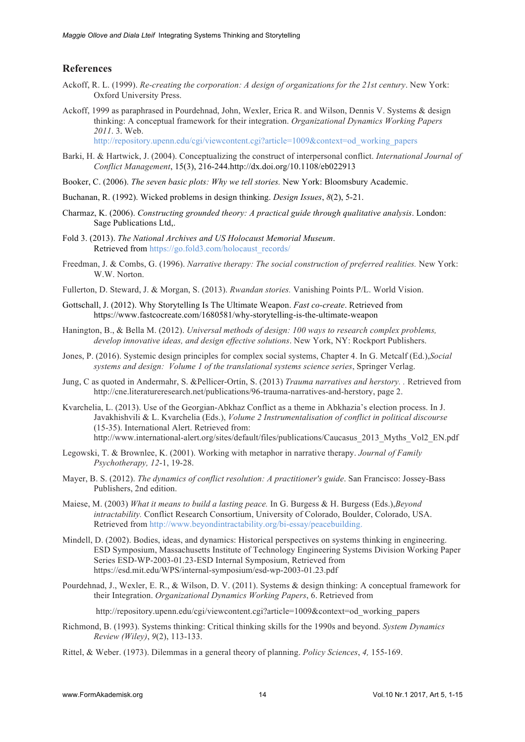#### **References**

- Ackoff, R. L. (1999). *Re-creating the corporation: A design of organizations for the 21st century*. New York: Oxford University Press.
- Ackoff, 1999 as paraphrased in Pourdehnad, John, Wexler, Erica R. and Wilson, Dennis V. Systems & design thinking: A conceptual framework for their integration. *Organizational Dynamics Working Papers 2011*. 3. Web.

http://repository.upenn.edu/cgi/viewcontent.cgi?article=1009&context=od\_working\_papers

- Barki, H. & Hartwick, J. (2004). Conceptualizing the construct of interpersonal conflict. *International Journal of Conflict Management*, 15(3), 216-244.http://dx.doi.org/10.1108/eb022913
- Booker, C. (2006). *The seven basic plots: Why we tell stories.* New York: Bloomsbury Academic.
- Buchanan, R. (1992). Wicked problems in design thinking. *Design Issues*, *8*(2), 5-21.
- Charmaz, K. (2006). *Constructing grounded theory: A practical guide through qualitative analysis*. London: Sage Publications Ltd,.
- Fold 3. (2013). *The National Archives and US Holocaust Memorial Museum*. Retrieved from https://go.fold3.com/holocaust\_records/
- Freedman, J. & Combs, G. (1996). *Narrative therapy: The social construction of preferred realities.* New York: W.W. Norton.
- Fullerton, D. Steward, J. & Morgan, S. (2013). *Rwandan stories.* Vanishing Points P/L. World Vision.
- Gottschall, J. (2012). Why Storytelling Is The Ultimate Weapon. *Fast co-create*. Retrieved from https://www.fastcocreate.com/1680581/why-storytelling-is-the-ultimate-weapon
- Hanington, B., & Bella M. (2012). *Universal methods of design: 100 ways to research complex problems, develop innovative ideas, and design effective solutions*. New York, NY: Rockport Publishers.
- Jones, P. (2016). Systemic design principles for complex social systems, Chapter 4. In G. Metcalf (Ed.),*Social systems and design: Volume 1 of the translational systems science series*, Springer Verlag.
- Jung, C as quoted in Andermahr, S. &Pellicer-Ortín, S. (2013) *Trauma narratives and herstory. .* Retrieved from http://cne.literatureresearch.net/publications/96-trauma-narratives-and-herstory, page 2.
- Kvarchelia, L. (2013). Use of the Georgian-Abkhaz Conflict as a theme in Abkhazia's election process. In J. Javakhishvili & L. Kvarchelia (Eds.), *Volume 2 Instrumentalisation of conflict in political discourse*  (15-35). International Alert. Retrieved from: http://www.international-alert.org/sites/default/files/publications/Caucasus\_2013\_Myths\_Vol2\_EN.pdf
- Legowski, T. & Brownlee, K. (2001). Working with metaphor in narrative therapy. *Journal of Family Psychotherapy, 12*-1, 19-28.
- Mayer, B. S. (2012). *The dynamics of conflict resolution: A practitioner's guide*. San Francisco: Jossey-Bass Publishers, 2nd edition.
- Maiese, M. (2003) *What it means to build a lasting peace.* In G. Burgess & H. Burgess (Eds.),*Beyond intractability.* Conflict Research Consortium, University of Colorado, Boulder, Colorado, USA. Retrieved from http://www.beyondintractability.org/bi-essay/peacebuilding.
- Mindell, D. (2002). Bodies, ideas, and dynamics: Historical perspectives on systems thinking in engineering. ESD Symposium, Massachusetts Institute of Technology Engineering Systems Division Working Paper Series ESD-WP-2003-01.23-ESD Internal Symposium, Retrieved from https://esd.mit.edu/WPS/internal-symposium/esd-wp-2003-01.23.pdf
- Pourdehnad, J., Wexler, E. R., & Wilson, D. V. (2011). Systems & design thinking: A conceptual framework for their Integration. *Organizational Dynamics Working Papers*, 6. Retrieved from

http://repository.upenn.edu/cgi/viewcontent.cgi?article=1009&context=od\_working\_papers

- Richmond, B. (1993). Systems thinking: Critical thinking skills for the 1990s and beyond. *System Dynamics Review (Wiley)*, *9*(2), 113-133.
- Rittel, & Weber. (1973). Dilemmas in a general theory of planning. *Policy Sciences*, *4,* 155-169.